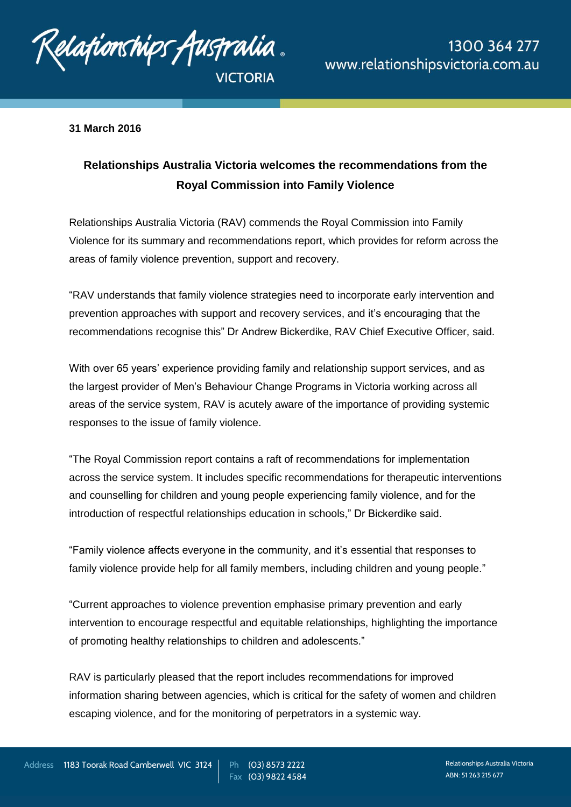

## **31 March 2016**

## **Relationships Australia Victoria welcomes the recommendations from the Royal Commission into Family Violence**

Relationships Australia Victoria (RAV) commends the Royal Commission into Family Violence for its summary and recommendations report, which provides for reform across the areas of family violence prevention, support and recovery.

"RAV understands that family violence strategies need to incorporate early intervention and prevention approaches with support and recovery services, and it's encouraging that the recommendations recognise this" Dr Andrew Bickerdike, RAV Chief Executive Officer, said.

With over 65 years' experience providing family and relationship support services, and as the largest provider of Men's Behaviour Change Programs in Victoria working across all areas of the service system, RAV is acutely aware of the importance of providing systemic responses to the issue of family violence.

"The Royal Commission report contains a raft of recommendations for implementation across the service system. It includes specific recommendations for therapeutic interventions and counselling for children and young people experiencing family violence, and for the introduction of respectful relationships education in schools," Dr Bickerdike said.

"Family violence affects everyone in the community, and it's essential that responses to family violence provide help for all family members, including children and young people."

"Current approaches to violence prevention emphasise primary prevention and early intervention to encourage respectful and equitable relationships, highlighting the importance of promoting healthy relationships to children and adolescents."

RAV is particularly pleased that the report includes recommendations for improved information sharing between agencies, which is critical for the safety of women and children escaping violence, and for the monitoring of perpetrators in a systemic way.